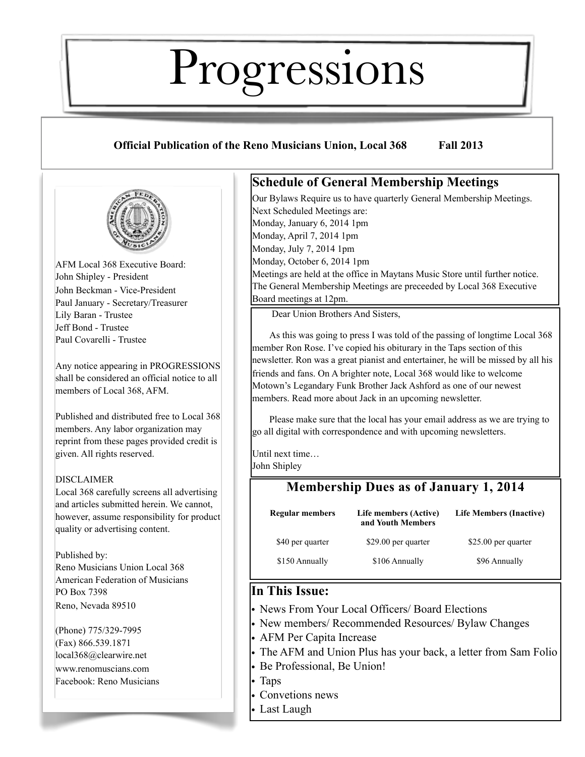# Progressions

## **Official Publication of the Reno Musicians Union, Local 368 Fall 2013**



AFM Local 368 Executive Board: John Shipley - President John Beckman - Vice-President Paul January - Secretary/Treasurer Lily Baran - Trustee Jeff Bond - Trustee Paul Covarelli - Trustee

Any notice appearing in PROGRESSIONS shall be considered an official notice to all members of Local 368, AFM.

Published and distributed free to Local 368 members. Any labor organization may reprint from these pages provided credit is given. All rights reserved.

#### DISCLAIMER

Local 368 carefully screens all advertising and articles submitted herein. We cannot, however, assume responsibility for product quality or advertising content.

Published by: Reno Musicians Union Local 368 American Federation of Musicians PO Box 7398 Reno, Nevada 89510

(Phone) 775/329-7995 (Fax) 866.539.1871 local368@clearwire.net [www.renom](http://www.reno)uscians.com Facebook: Reno Musicians

## **Schedule of General Membership Meetings**

Our Bylaws Require us to have quarterly General Membership Meetings. Next Scheduled Meetings are: Monday, January 6, 2014 1pm Monday, April 7, 2014 1pm Monday, July 7, 2014 1pm Monday, October 6, 2014 1pm Meetings are held at the office in Maytans Music Store until further notice. The General Membership Meetings are preceeded by Local 368 Executive Board meetings at 12pm.

Dear Union Brothers And Sisters,

As this was going to press I was told of the passing of longtime Local 368 member Ron Rose. I've copied his obiturary in the Taps section of this newsletter. Ron was a great pianist and entertainer, he will be missed by all his friends and fans. On A brighter note, Local 368 would like to welcome Motown's Legandary Funk Brother Jack Ashford as one of our newest members. Read more about Jack in an upcoming newsletter.

Please make sure that the local has your email address as we are trying to go all digital with correspondence and with upcoming newsletters.

Until next time…

John Shipley

## **Membership Dues as of January 1, 2014**

| <b>Regular members</b> | Life members (Active)<br>and Youth Members | <b>Life Members (Inactive)</b> |
|------------------------|--------------------------------------------|--------------------------------|
| \$40 per quarter       | \$29.00 per quarter                        | \$25.00 per quarter            |
| \$150 Annually         | \$106 Annually                             | \$96 Annually                  |

## **In This Issue:**

- News From Your Local Officers/ Board Elections
- New members/ Recommended Resources/ Bylaw Changes
- AFM Per Capita Increase
- The AFM and Union Plus has your back, a letter from Sam Folio
- Be Professional, Be Union!
- Taps
- Convetions news
- Last Laugh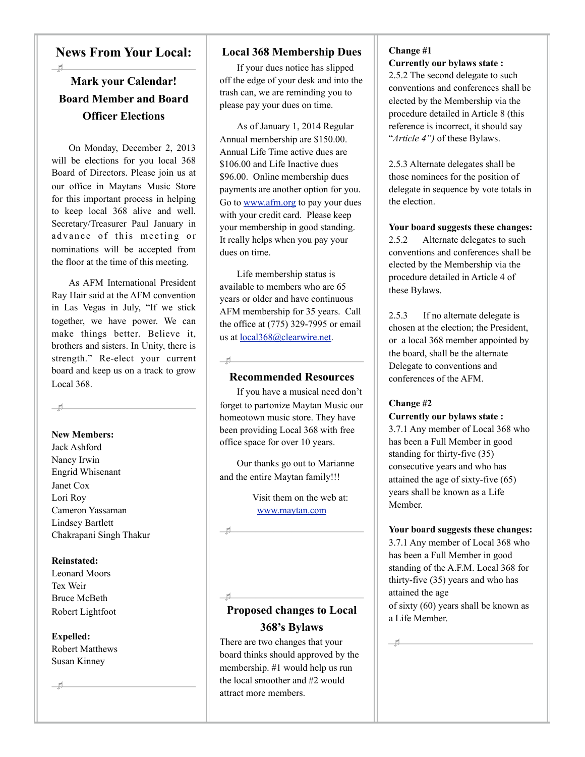## **News From Your Local:**

 $H$ 

## **Mark your Calendar! Board Member and Board Officer Elections**

On Monday, December 2, 2013 will be elections for you local 368 Board of Directors. Please join us at our office in Maytans Music Store for this important process in helping to keep local 368 alive and well. Secretary/Treasurer Paul January in advance of this meeting or nominations will be accepted from the floor at the time of this meeting.

As AFM International President Ray Hair said at the AFM convention in Las Vegas in July, "If we stick together, we have power. We can make things better. Believe it, brothers and sisters. In Unity, there is strength." Re-elect your current board and keep us on a track to grow Local 368.

 $\overline{\phantom{a}}$ 

#### **New Members:**

Jack Ashford Nancy Irwin Engrid Whisenant Janet Cox Lori Roy Cameron Yassaman Lindsey Bartlett Chakrapani Singh Thakur

#### **Reinstated:**

Leonard Moors Tex Weir Bruce McBeth Robert Lightfoot

## **Expelled:**

Robert Matthews Susan Kinney

 $\pm$ 

#### **Local 368 Membership Dues**

If your dues notice has slipped off the edge of your desk and into the trash can, we are reminding you to please pay your dues on time.

As of January 1, 2014 Regular Annual membership are \$150.00. Annual Life Time active dues are \$106.00 and Life Inactive dues \$96.00. Online membership dues payments are another option for you. Go to [www.afm.org](http://www.afm.org) to pay your dues with your credit card. Please keep your membership in good standing. It really helps when you pay your dues on time.

Life membership status is available to members who are 65 years or older and have continuous AFM membership for 35 years. Call the office at (775) 329-7995 or email us at [local368@clearwire.net.](mailto:local368@clearwire.net)

#### **Recommended Resources**

 $H$ 

 $-1$ 

 $-1$ 

If you have a musical need don't forget to partonize Maytan Music our homeotown music store. They have been providing Local 368 with free office space for over 10 years.

Our thanks go out to Marianne and the entire Maytan family!!!

> Visit them on the web at: [www.maytan.com](http://www.maytan.com)

## **Proposed changes to Local 368's Bylaws**

There are two changes that your board thinks should approved by the membership. #1 would help us run the local smoother and #2 would attract more members.

#### **Change #1 Currently our bylaws state :**

2.5.2 The second delegate to such conventions and conferences shall be elected by the Membership via the procedure detailed in Article 8 (this reference is incorrect, it should say "*Article 4")* of these Bylaws.

2.5.3 Alternate delegates shall be those nominees for the position of delegate in sequence by vote totals in the election.

**Your board suggests these changes:** 2.5.2 Alternate delegates to such conventions and conferences shall be elected by the Membership via the procedure detailed in Article 4 of these Bylaws.

2.5.3 If no alternate delegate is chosen at the election; the President, or a local 368 member appointed by the board, shall be the alternate Delegate to conventions and conferences of the AFM.

#### **Change #2**

 $\pm$ 

#### **Currently our bylaws state :**

3.7.1 Any member of Local 368 who has been a Full Member in good standing for thirty-five (35) consecutive years and who has attained the age of sixty-five (65) years shall be known as a Life Member.

#### **Your board suggests these changes:**

3.7.1 Any member of Local 368 who has been a Full Member in good standing of the A.F.M. Local 368 for thirty-five (35) years and who has attained the age of sixty (60) years shall be known as a Life Member.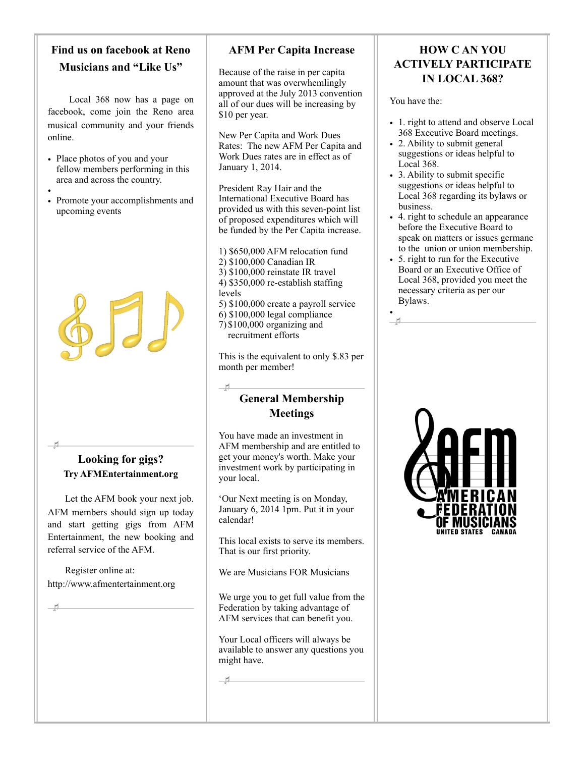## **Find us on facebook at Reno Musicians and "Like Us"**

Local 368 now has a page on facebook, come join the Reno area musical community and your friends online.

- Place photos of you and your fellow members performing in this area and across the country.
- • Promote your accomplishments and upcoming events



## **Looking for gigs? Try AFMEntertainment.org**

Let the AFM book your next job. AFM members should sign up today and start getting gigs from AFM Entertainment, the new booking and referral service of the AFM.

Register online at: <http://www.afmentertainment.org>

 $-1$ 

## **AFM Per Capita Increase**

Because of the raise in per capita amount that was overwhemlingly approved at the July 2013 convention all of our dues will be increasing by \$10 per year.

New Per Capita and Work Dues Rates: The new AFM Per Capita and Work Dues rates are in effect as of January 1, 2014.

President Ray Hair and the International Executive Board has provided us with this seven-point list of proposed expenditures which will be funded by the Per Capita increase.

1) \$650,000 AFM relocation fund 2) \$100,000 Canadian IR 3) \$100,000 reinstate IR travel 4) \$350,000 re-establish staffing levels 5) \$100,000 create a payroll service 6) \$100,000 legal compliance 7) \$100,000 organizing and recruitment efforts

This is the equivalent to only \$.83 per month per member!

## **General Membership Meetings**

You have made an investment in AFM membership and are entitled to get your money's worth. Make your investment work by participating in your local.

'Our Next meeting is on Monday, January 6, 2014 1pm. Put it in your calendar!

This local exists to serve its members. That is our first priority.

We are Musicians FOR Musicians

We urge you to get full value from the Federation by taking advantage of AFM services that can benefit you.

Your Local officers will always be available to answer any questions you might have.

 $H$ 

 $-$ rl

## **HOW C AN YOU ACTIVELY PARTICIPATE IN LOCAL 368?**

You have the:

•

- 1. right to attend and observe Local 368 Executive Board meetings.
- 2. Ability to submit general suggestions or ideas helpful to Local 368.
- 3. Ability to submit specific suggestions or ideas helpful to Local 368 regarding its bylaws or business.
- 4. right to schedule an appearance before the Executive Board to speak on matters or issues germane to the union or union membership.
- 5. right to run for the Executive Board or an Executive Office of Local 368, provided you meet the necessary criteria as per our Bylaws.

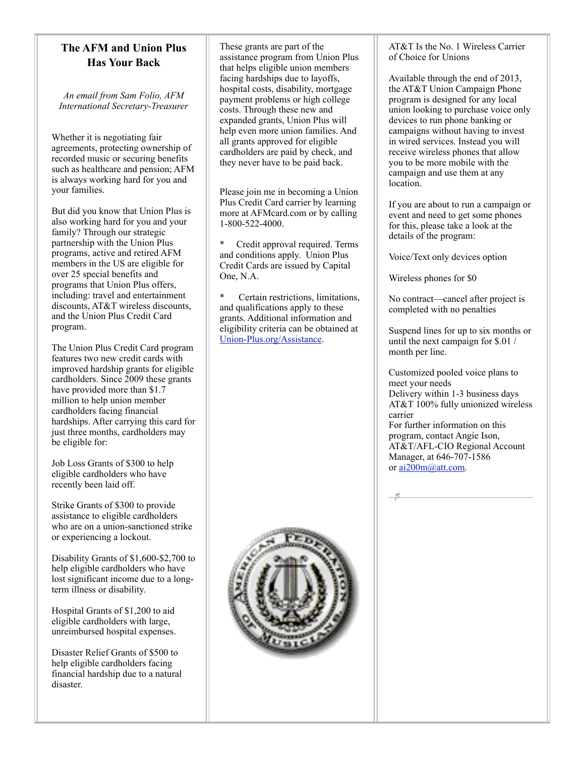### **The AFM and Union Plus Has Your Back**

*An email from Sam Folio, AFM International Secretary-Treasurer*

Whether it is negotiating fair agreements, protecting ownership of recorded music or securing benefits such as healthcare and pension; AFM is always working hard for you and your families.

But did you know that Union Plus is also working hard for you and your family? Through our strategic partnership with the Union Plus programs, active and retired AFM members in the US are eligible for over 25 special benefits and programs that Union Plus offers, including: travel and entertainment discounts, AT&T wireless discounts, and the Union Plus Credit Card program.

The Union Plus Credit Card program features two new credit cards with improved hardship grants for eligible cardholders. Since 2009 these grants have provided more than \$1.7 million to help union member cardholders facing financial hardships. After carrying this card for just three months, cardholders may be eligible for:

Job Loss Grants of \$300 to help eligible cardholders who have recently been laid off.

Strike Grants of \$300 to provide assistance to eligible cardholders who are on a union-sanctioned strike or experiencing a lockout.

Disability Grants of \$1,600-\$2,700 to help eligible cardholders who have lost significant income due to a longterm illness or disability.

Hospital Grants of \$1,200 to aid eligible cardholders with large, unreimbursed hospital expenses.

Disaster Relief Grants of \$500 to help eligible cardholders facing financial hardship due to a natural disaster.

These grants are part of the assistance program from Union Plus that helps eligible union members facing hardships due to layoffs, hospital costs, disability, mortgage payment problems or high college costs. Through these new and expanded grants, Union Plus will help even more union families. And all grants approved for eligible cardholders are paid by check, and they never have to be paid back.

Please join me in becoming a Union Plus Credit Card carrier by learning more at AFMcard.com or by calling 1-800-522-4000.

\* Credit approval required. Terms and conditions apply. Union Plus Credit Cards are issued by Capital One, N.A.

Certain restrictions, limitations, and qualifications apply to these grants. Additional information and eligibility criteria can be obtained at [Union-Plus.org/Assistance.](http://Union-Plus.org/Assistance)



Available through the end of 2013, the AT&T Union Campaign Phone program is designed for any local union looking to purchase voice only devices to run phone banking or campaigns without having to invest in wired services. Instead you will receive wireless phones that allow you to be more mobile with the campaign and use them at any location.

If you are about to run a campaign or event and need to get some phones for this, please take a look at the details of the program:

Voice/Text only devices option

Wireless phones for \$0

 $-11$ 

No contract—cancel after project is completed with no penalties

Suspend lines for up to six months or until the next campaign for \$.01 / month per line.

Customized pooled voice plans to meet your needs Delivery within 1-3 business days AT&T 100% fully unionized wireless carrier For further information on this program, contact Angie Ison, AT&T/AFL-CIO Regional Account Manager, at 646-707-1586 or [ai200m@att.com.](mailto:ai200m@att.com)

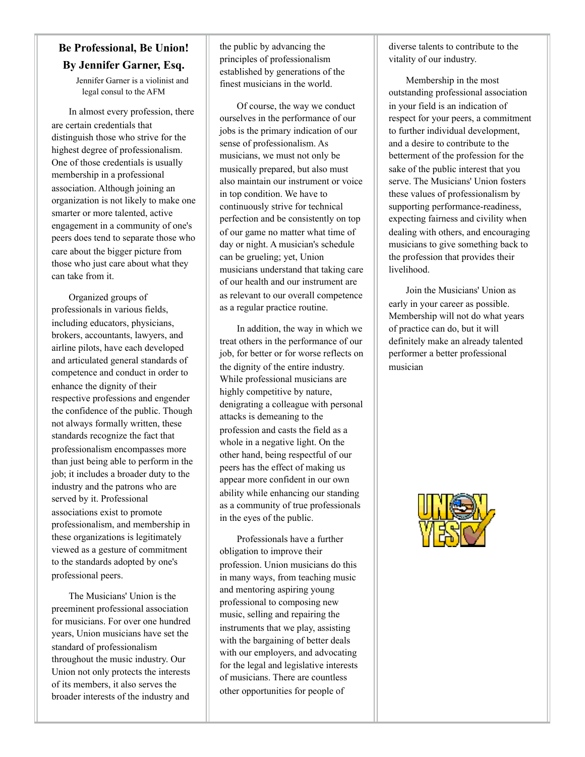## **Be Professional, Be Union! By Jennifer Garner, Esq.**

Jennifer Garner is a violinist and legal consul to the AFM

In almost every profession, there are certain credentials that distinguish those who strive for the highest degree of professionalism. One of those credentials is usually membership in a professional association. Although joining an organization is not likely to make one smarter or more talented, active engagement in a community of one's peers does tend to separate those who care about the bigger picture from those who just care about what they can take from it.

Organized groups of professionals in various fields, including educators, physicians, brokers, accountants, lawyers, and airline pilots, have each developed and articulated general standards of competence and conduct in order to enhance the dignity of their respective professions and engender the confidence of the public. Though not always formally written, these standards recognize the fact that professionalism encompasses more than just being able to perform in the job; it includes a broader duty to the industry and the patrons who are served by it. Professional associations exist to promote professionalism, and membership in these organizations is legitimately viewed as a gesture of commitment to the standards adopted by one's professional peers.

The Musicians' Union is the preeminent professional association for musicians. For over one hundred years, Union musicians have set the standard of professionalism throughout the music industry. Our Union not only protects the interests of its members, it also serves the broader interests of the industry and

the public by advancing the principles of professionalism established by generations of the finest musicians in the world.

Of course, the way we conduct ourselves in the performance of our jobs is the primary indication of our sense of professionalism. As musicians, we must not only be musically prepared, but also must also maintain our instrument or voice in top condition. We have to continuously strive for technical perfection and be consistently on top of our game no matter what time of day or night. A musician's schedule can be grueling; yet, Union musicians understand that taking care of our health and our instrument are as relevant to our overall competence as a regular practice routine.

In addition, the way in which we treat others in the performance of our job, for better or for worse reflects on the dignity of the entire industry. While professional musicians are highly competitive by nature, denigrating a colleague with personal attacks is demeaning to the profession and casts the field as a whole in a negative light. On the other hand, being respectful of our peers has the effect of making us appear more confident in our own ability while enhancing our standing as a community of true professionals in the eyes of the public.

Professionals have a further obligation to improve their profession. Union musicians do this in many ways, from teaching music and mentoring aspiring young professional to composing new music, selling and repairing the instruments that we play, assisting with the bargaining of better deals with our employers, and advocating for the legal and legislative interests of musicians. There are countless other opportunities for people of

diverse talents to contribute to the vitality of our industry.

Membership in the most outstanding professional association in your field is an indication of respect for your peers, a commitment to further individual development, and a desire to contribute to the betterment of the profession for the sake of the public interest that you serve. The Musicians' Union fosters these values of professionalism by supporting performance-readiness, expecting fairness and civility when dealing with others, and encouraging musicians to give something back to the profession that provides their livelihood.

Join the Musicians' Union as early in your career as possible. Membership will not do what years of practice can do, but it will definitely make an already talented performer a better professional musician

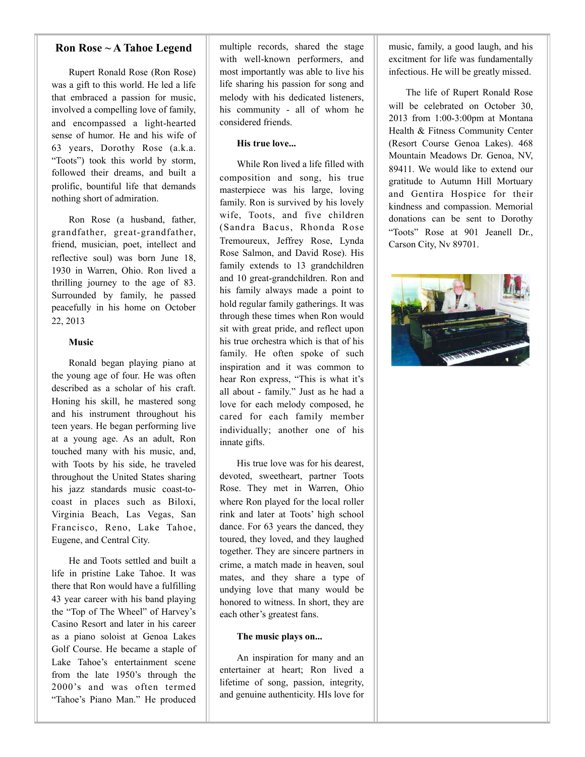#### **Ron Rose ~ A Tahoe Legend**

Rupert Ronald Rose (Ron Rose) was a gift to this world. He led a life that embraced a passion for music, involved a compelling love of family, and encompassed a light-hearted sense of humor. He and his wife of 63 years, Dorothy Rose (a.k.a. "Toots") took this world by storm, followed their dreams, and built a prolific, bountiful life that demands nothing short of admiration.

Ron Rose (a husband, father, grandfather, great-grandfather, friend, musician, poet, intellect and reflective soul) was born June 18, 1930 in Warren, Ohio. Ron lived a thrilling journey to the age of 83. Surrounded by family, he passed peacefully in his home on October 22, 2013

#### **Music**

Ronald began playing piano at the young age of four. He was often described as a scholar of his craft. Honing his skill, he mastered song and his instrument throughout his teen years. He began performing live at a young age. As an adult, Ron touched many with his music, and, with Toots by his side, he traveled throughout the United States sharing his jazz standards music coast-tocoast in places such as Biloxi, Virginia Beach, Las Vegas, San Francisco, Reno, Lake Tahoe, Eugene, and Central City.

He and Toots settled and built a life in pristine Lake Tahoe. It was there that Ron would have a fulfilling 43 year career with his band playing the "Top of The Wheel" of Harvey's Casino Resort and later in his career as a piano soloist at Genoa Lakes Golf Course. He became a staple of Lake Tahoe's entertainment scene from the late 1950's through the 2000's and was often termed "Tahoe's Piano Man." He produced

multiple records, shared the stage with well-known performers, and most importantly was able to live his life sharing his passion for song and melody with his dedicated listeners, his community - all of whom he considered friends.

#### **His true love...**

While Ron lived a life filled with composition and song, his true masterpiece was his large, loving family. Ron is survived by his lovely wife, Toots, and five children (Sandra Bacus, Rhonda Rose Tremoureux, Jeffrey Rose, Lynda Rose Salmon, and David Rose). His family extends to 13 grandchildren and 10 great-grandchildren. Ron and his family always made a point to hold regular family gatherings. It was through these times when Ron would sit with great pride, and reflect upon his true orchestra which is that of his family. He often spoke of such inspiration and it was common to hear Ron express, "This is what it's all about - family." Just as he had a love for each melody composed, he cared for each family member individually; another one of his innate gifts.

His true love was for his dearest, devoted, sweetheart, partner Toots Rose. They met in Warren, Ohio where Ron played for the local roller rink and later at Toots' high school dance. For 63 years the danced, they toured, they loved, and they laughed together. They are sincere partners in crime, a match made in heaven, soul mates, and they share a type of undying love that many would be honored to witness. In short, they are each other's greatest fans.

#### **The music plays on...**

An inspiration for many and an entertainer at heart; Ron lived a lifetime of song, passion, integrity, and genuine authenticity. HIs love for music, family, a good laugh, and his excitment for life was fundamentally infectious. He will be greatly missed.

The life of Rupert Ronald Rose will be celebrated on October 30, 2013 from 1:00-3:00pm at Montana Health & Fitness Community Center (Resort Course Genoa Lakes). 468 Mountain Meadows Dr. Genoa, NV, 89411. We would like to extend our gratitude to Autumn Hill Mortuary and Gentira Hospice for their kindness and compassion. Memorial donations can be sent to Dorothy "Toots" Rose at 901 Jeanell Dr., Carson City, Nv 89701.

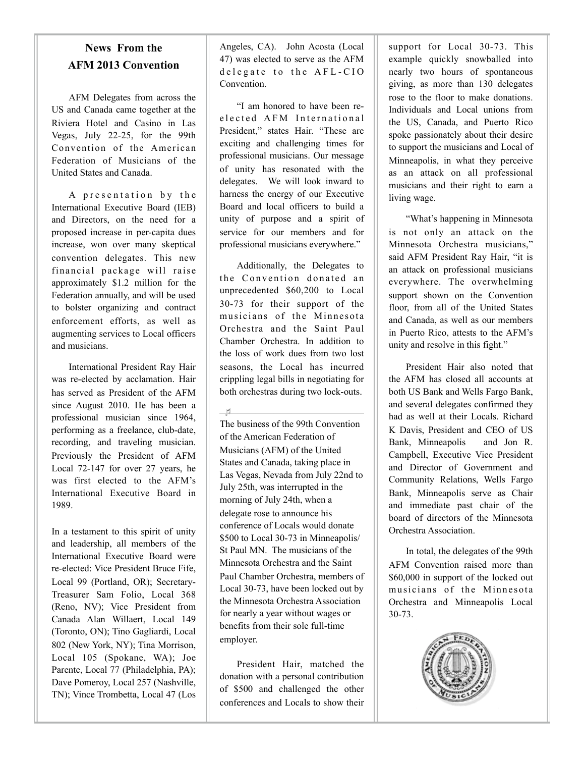## **News From the AFM 2013 Convention**

AFM Delegates from across the US and Canada came together at the Riviera Hotel and Casino in Las Vegas, July 22-25, for the 99th Convention of the American Federation of Musicians of the United States and Canada.

A presentation by the International Executive Board (IEB) and Directors, on the need for a proposed increase in per-capita dues increase, won over many skeptical convention delegates. This new financial package will raise approximately \$1.2 million for the Federation annually, and will be used to bolster organizing and contract enforcement efforts, as well as augmenting services to Local officers and musicians.

International President Ray Hair was re-elected by acclamation. Hair has served as President of the AFM since August 2010. He has been a professional musician since 1964, performing as a freelance, club-date, recording, and traveling musician. Previously the President of AFM Local 72-147 for over 27 years, he was first elected to the AFM's International Executive Board in 1989.

In a testament to this spirit of unity and leadership, all members of the International Executive Board were re-elected: Vice President Bruce Fife, Local 99 (Portland, OR); Secretary-Treasurer Sam Folio, Local 368 (Reno, NV); Vice President from Canada Alan Willaert, Local 149 (Toronto, ON); Tino Gagliardi, Local 802 (New York, NY); Tina Morrison, Local 105 (Spokane, WA); Joe Parente, Local 77 (Philadelphia, PA); Dave Pomeroy, Local 257 (Nashville, TN); Vince Trombetta, Local 47 (Los Angeles, CA). John Acosta (Local 47) was elected to serve as the AFM de legate to the AFL-CIO Convention.

"I am honored to have been ree lected AFM International President," states Hair. "These are exciting and challenging times for professional musicians. Our message of unity has resonated with the delegates. We will look inward to harness the energy of our Executive Board and local officers to build a unity of purpose and a spirit of service for our members and for professional musicians everywhere."

Additionally, the Delegates to the Convention donated an unprecedented \$60,200 to Local 30-73 for their support of the musicians of the Minnesota Orchestra and the Saint Paul Chamber Orchestra. In addition to the loss of work dues from two lost seasons, the Local has incurred crippling legal bills in negotiating for both orchestras during two lock-outs.

 $-$ rl

The business of the 99th Convention of the American Federation of Musicians (AFM) of the United States and Canada, taking place in Las Vegas, Nevada from July 22nd to July 25th, was interrupted in the morning of July 24th, when a delegate rose to announce his conference of Locals would donate \$500 to Local 30-73 in Minneapolis/ St Paul MN. The musicians of the Minnesota Orchestra and the Saint Paul Chamber Orchestra, members of Local 30-73, have been locked out by the Minnesota Orchestra Association for nearly a year without wages or benefits from their sole full-time employer.

President Hair, matched the donation with a personal contribution of \$500 and challenged the other conferences and Locals to show their support for Local 30-73. This example quickly snowballed into nearly two hours of spontaneous giving, as more than 130 delegates rose to the floor to make donations. Individuals and Local unions from the US, Canada, and Puerto Rico spoke passionately about their desire to support the musicians and Local of Minneapolis, in what they perceive as an attack on all professional musicians and their right to earn a living wage.

"What's happening in Minnesota is not only an attack on the Minnesota Orchestra musicians," said AFM President Ray Hair, "it is an attack on professional musicians everywhere. The overwhelming support shown on the Convention floor, from all of the United States and Canada, as well as our members in Puerto Rico, attests to the AFM's unity and resolve in this fight."

President Hair also noted that the AFM has closed all accounts at both US Bank and Wells Fargo Bank, and several delegates confirmed they had as well at their Locals. Richard K Davis, President and CEO of US Bank, Minneapolis and Jon R. Campbell, Executive Vice President and Director of Government and Community Relations, Wells Fargo Bank, Minneapolis serve as Chair and immediate past chair of the board of directors of the Minnesota Orchestra Association.

In total, the delegates of the 99th AFM Convention raised more than \$60,000 in support of the locked out musicians of the Minnesota Orchestra and Minneapolis Local 30-73.